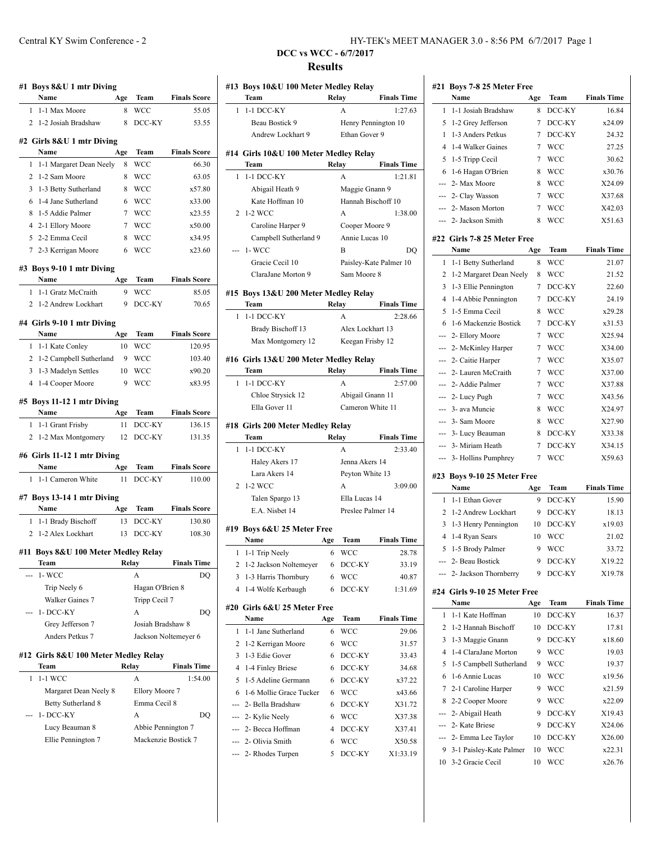| #1 Boys 8&U 1 mtr Diving<br>Name                                                                                    | Age      | Team                                      | <b>Finals Score</b>  |
|---------------------------------------------------------------------------------------------------------------------|----------|-------------------------------------------|----------------------|
| 1-1 Max Moore<br>1                                                                                                  | 8        | <b>WCC</b>                                | 55.05                |
| $\overline{2}$<br>1-2 Josiah Bradshaw                                                                               | 8        | DCC-KY                                    | 53.55                |
|                                                                                                                     |          |                                           |                      |
| #2 Girls 8&U 1 mtr Diving<br>Name                                                                                   |          | Team                                      | <b>Finals Score</b>  |
| 1-1 Margaret Dean Neely<br>1                                                                                        | Age<br>8 | WCC                                       | 66.30                |
| 2<br>1-2 Sam Moore                                                                                                  | 8        | WCC                                       | 63.05                |
| 3<br>1-3 Betty Sutherland                                                                                           | 8        | WCC                                       | x57.80               |
| 1-4 Jane Sutherland<br>6                                                                                            | 6        | WCC                                       | x33.00               |
| 8<br>1-5 Addie Palmer                                                                                               | 7        | <b>WCC</b>                                | x23.55               |
| 4<br>2-1 Ellory Moore                                                                                               | 7        | <b>WCC</b>                                | x50.00               |
| 5 2-2 Emma Cecil                                                                                                    | 8        | <b>WCC</b>                                | x34.95               |
| 7 2-3 Kerrigan Moore                                                                                                | 6        | WCC                                       | x23.60               |
|                                                                                                                     |          |                                           |                      |
| #3 Boys 9-10 1 mtr Diving                                                                                           |          |                                           |                      |
| Name                                                                                                                | Age      | Team                                      | <b>Finals Score</b>  |
| 1-1 Gratz McCraith<br>1                                                                                             | 9        | <b>WCC</b>                                | 85.05                |
| 2 1-2 Andrew Lockhart                                                                                               | 9        | DCC-KY                                    | 70.65                |
| #4 Girls 9-10 1 mtr Diving                                                                                          |          |                                           |                      |
| Name                                                                                                                | Age      | Team                                      | <b>Finals Score</b>  |
| 1 1-1 Kate Conley                                                                                                   | 10       | WCC                                       | 120.95               |
| 2 1-2 Campbell Sutherland                                                                                           | 9        | <b>WCC</b>                                | 103.40               |
| 3<br>1-3 Madelyn Settles                                                                                            | 10       | WCC                                       | x90.20               |
| $\overline{4}$<br>1-4 Cooper Moore                                                                                  | 9        | <b>WCC</b>                                | x83.95               |
| 1 1-1 Grant Frisby<br>1-2 Max Montgomery<br>2                                                                       | 11<br>12 | DCC-KY<br>DCC-KY                          | 136.15<br>131.35     |
|                                                                                                                     |          |                                           |                      |
|                                                                                                                     |          |                                           |                      |
| #6 Girls 11-12 1 mtr Diving<br>Name                                                                                 | Age      | Team                                      | <b>Finals Score</b>  |
| 1-1 Cameron White<br>1                                                                                              | 11       | DCC-KY                                    | 110.00               |
|                                                                                                                     |          |                                           |                      |
| #7 Boys 13-14 1 mtr Diving<br>Name                                                                                  |          |                                           |                      |
| 1                                                                                                                   | Age      | Team                                      | <b>Finals Score</b>  |
| 1-1 Brady Bischoff<br>2 1-2 Alex Lockhart                                                                           | 13<br>13 | DCC-KY<br>DCC-KY                          | 130.80<br>108.30     |
|                                                                                                                     |          |                                           |                      |
|                                                                                                                     |          |                                           |                      |
| Team                                                                                                                |          | Relay                                     | <b>Finals Time</b>   |
| $1-$ WCC                                                                                                            |          | А                                         |                      |
| Trip Neely 6                                                                                                        |          | Hagan O'Brien 8                           |                      |
| Walker Gaines 7                                                                                                     |          | Tripp Cecil 7                             |                      |
| 1-DCC-KY                                                                                                            |          | A                                         | DO                   |
| Grey Jefferson 7                                                                                                    |          | Josiah Bradshaw 8                         | DQ                   |
| Anders Petkus 7                                                                                                     |          |                                           | Jackson Noltemeyer 6 |
|                                                                                                                     |          |                                           |                      |
| Team                                                                                                                |          | Relay                                     | <b>Finals Time</b>   |
| 1-1 WCC<br>1                                                                                                        |          | A                                         | 1:54.00              |
| Margaret Dean Neely 8                                                                                               |          | Ellory Moore 7                            |                      |
| Betty Sutherland 8                                                                                                  |          | Emma Cecil 8                              |                      |
| 1- DCC-KY                                                                                                           |          | A                                         | DO                   |
| #11 Boys 8&U 100 Meter Medley Relay<br>#12 Girls 8&U 100 Meter Medley Relay<br>Lucy Beauman 8<br>Ellie Pennington 7 |          | Abbie Pennington 7<br>Mackenzie Bostick 7 |                      |

| 1   | Team                                  |     | #13 Boys 10&U 100 Meter Medley Relay<br>Relay | <b>Finals Time</b>     | #21 B                                     |
|-----|---------------------------------------|-----|-----------------------------------------------|------------------------|-------------------------------------------|
|     | 1-1 DCC-KY                            |     | A                                             | 1:27.63                | 1                                         |
|     | Beau Bostick 9                        |     | Henry Pennington 10                           |                        | 5                                         |
|     | Andrew Lockhart 9                     |     | Ethan Gover 9                                 |                        | 1                                         |
|     |                                       |     |                                               |                        | 4                                         |
|     | #14 Girls 10&U 100 Meter Medley Relay |     |                                               |                        | 5                                         |
|     | Team                                  |     | Relay                                         | <b>Finals Time</b>     | 6                                         |
| 1   | 1-1 DCC-KY                            |     | A                                             | 1:21.81                |                                           |
|     | Abigail Heath 9                       |     | Maggie Gnann 9                                |                        |                                           |
|     | Kate Hoffman 10                       |     | Hannah Bischoff 10                            |                        | -- 2                                      |
| 2   | 1-2 WCC                               |     | A                                             | 1:38.00                | --- 2                                     |
|     | Caroline Harper 9                     |     | Cooper Moore 9                                |                        |                                           |
|     | Campbell Sutherland 9                 |     | Annie Lucas 10                                |                        | #22 G                                     |
|     | $1-WCC$                               |     | B                                             | DQ                     |                                           |
|     | Gracie Cecil 10                       |     |                                               | Paisley-Kate Palmer 10 | 1                                         |
|     | ClaraJane Morton 9                    |     | Sam Moore 8                                   |                        | 2                                         |
|     | #15 Boys 13&U 200 Meter Medley Relay  |     |                                               |                        | 3                                         |
|     | Team                                  |     | Relay                                         | <b>Finals Time</b>     | 4                                         |
| 1   | 1-1 DCC-KY                            |     | A                                             | 2:28.66                | 5                                         |
|     | Brady Bischoff 13                     |     | Alex Lockhart 13                              |                        | 6 1                                       |
|     | Max Montgomery 12                     |     | Keegan Frisby 12                              |                        |                                           |
|     |                                       |     |                                               |                        |                                           |
|     | #16 Girls 13&U 200 Meter Medley Relay |     |                                               |                        |                                           |
|     | Team                                  |     | Relay                                         | <b>Finals Time</b>     |                                           |
| 1   | 1-1 DCC-KY                            |     | A                                             | 2:57.00                |                                           |
|     | Chloe Strysick 12                     |     | Abigail Gnann 11                              |                        |                                           |
|     | Ella Gover 11                         |     | Cameron White 11                              |                        |                                           |
|     | #18 Girls 200 Meter Medley Relay      |     |                                               |                        |                                           |
|     | Team                                  |     | Relay                                         | <b>Finals Time</b>     | -- 3                                      |
| 1   | 1-1 DCC-KY                            |     | A                                             | 2:33.40                | --- 3                                     |
|     | Haley Akers 17                        |     | Jenna Akers 14                                |                        |                                           |
|     | Lara Akers 14                         |     | Peyton White 13                               |                        | #23 B                                     |
| 2   | 1-2 WCC                               |     | A                                             | 3:09.00                |                                           |
|     | Talen Spargo 13                       |     | Ella Lucas 14                                 |                        | 1                                         |
|     |                                       |     | Preslee Palmer 14                             |                        |                                           |
|     | E.A. Nisbet 14                        |     |                                               |                        |                                           |
|     |                                       |     |                                               |                        |                                           |
|     | #19 Boys 6&U 25 Meter Free            |     |                                               |                        |                                           |
|     | Name                                  | Age | Team                                          | <b>Finals Time</b>     |                                           |
| 1   | 1-1 Trip Neely                        | 6   | <b>WCC</b>                                    | 28.78                  |                                           |
| 2   | 1-2 Jackson Noltemeyer                | 6   | DCC-KY                                        | 33.19                  |                                           |
| 3   | 1-3 Harris Thornbury                  | 6   | WCC                                           | 40.87                  |                                           |
| 4   | 1-4 Wolfe Kerbaugh                    | 6   | DCC-KY                                        | 1:31.69                |                                           |
|     | #20 Girls 6&U 25 Meter Free           |     |                                               |                        | 2<br>3<br>4<br>5<br>--- 2<br>---<br>#24 G |
|     | Name                                  | Age | Team                                          | <b>Finals Time</b>     |                                           |
| 1   | 1-1 Jane Sutherland                   | 6   | WCC                                           | 29.06                  |                                           |
| 2   | 1-2 Kerrigan Moore                    | 6   | WCC                                           | 31.57                  |                                           |
| 3   | 1-3 Edie Gover                        | 6   | DCC-KY                                        | 33.43                  | 1<br>2<br>3<br>4                          |
| 4   | 1-4 Finley Briese                     | 6   | DCC-KY                                        | 34.68                  | 5                                         |
| 5   | 1-5 Adeline Germann                   | 6   | DCC-KY                                        | x37.22                 |                                           |
| 6   | 1-6 Mollie Grace Tucker               | 6   | WCC                                           | x43.66                 |                                           |
|     | 2- Bella Bradshaw                     | 6   | DCC-KY                                        | X31.72                 |                                           |
| --- | 2- Kylie Neely                        | 6   | <b>WCC</b>                                    | X37.38                 |                                           |
|     | --- 2- Becca Hoffman                  | 4   | DCC-KY                                        | X37.41                 |                                           |
|     | 2- Olivia Smith                       | 6   | <b>WCC</b>                                    | X50.58                 | 6<br>7<br>8                               |

|                |                              | #21 Boys 7-8 25 Meter Free |            |                                                                                                                                                                                                                                                                        |
|----------------|------------------------------|----------------------------|------------|------------------------------------------------------------------------------------------------------------------------------------------------------------------------------------------------------------------------------------------------------------------------|
|                | Name                         | Age                        | Team       | <b>Finals Time</b>                                                                                                                                                                                                                                                     |
| 1              | 1-1 Josiah Bradshaw          | 8                          | DCC-KY     | 16.84                                                                                                                                                                                                                                                                  |
| 5              | 1-2 Grey Jefferson           | 7                          | DCC-KY     | x24.09                                                                                                                                                                                                                                                                 |
| 1              | 1-3 Anders Petkus            | 7                          | DCC-KY     | 24.32                                                                                                                                                                                                                                                                  |
| 4              | 1-4 Walker Gaines            | 7                          | WCC        | 27.25                                                                                                                                                                                                                                                                  |
| 5              | 1-5 Tripp Cecil              | 7                          | WCC        | 30.62                                                                                                                                                                                                                                                                  |
| 6              | 1-6 Hagan O'Brien            | 8                          | WCC        | x30.76                                                                                                                                                                                                                                                                 |
| ---            | 2- Max Moore                 | 8                          | <b>WCC</b> | X24.09                                                                                                                                                                                                                                                                 |
| ---            | 2- Clay Wasson               | 7                          | WCC        | X37.68                                                                                                                                                                                                                                                                 |
|                | 2- Mason Morton              | 7                          | WCC        | X42.03                                                                                                                                                                                                                                                                 |
| ---            | 2- Jackson Smith             | 8                          | WCC        | X51.63                                                                                                                                                                                                                                                                 |
|                | #22 Girls 7-8 25 Meter Free  |                            |            |                                                                                                                                                                                                                                                                        |
|                | Name                         | Age                        | Team       | <b>Finals Time</b>                                                                                                                                                                                                                                                     |
| 1              | 1-1 Betty Sutherland         | 8                          | <b>WCC</b> | 21.07                                                                                                                                                                                                                                                                  |
| 2              | 1-2 Margaret Dean Neely      | 8                          | <b>WCC</b> | 21.52                                                                                                                                                                                                                                                                  |
| 3              | 1-3 Ellie Pennington         | 7                          | DCC-KY     | 22.60                                                                                                                                                                                                                                                                  |
| 4              | 1-4 Abbie Pennington         | 7                          | DCC-KY     | 24.19                                                                                                                                                                                                                                                                  |
| 5              | 1-5 Emma Cecil               | 8                          | <b>WCC</b> | x29.28                                                                                                                                                                                                                                                                 |
| 6              | 1-6 Mackenzie Bostick        | 7                          | DCC-KY     | x31.53                                                                                                                                                                                                                                                                 |
| ---            | 2- Ellory Moore              | 7                          | <b>WCC</b> | X25.94                                                                                                                                                                                                                                                                 |
| ---            | 2- McKinley Harper           | 7                          | WCC        | X34.00                                                                                                                                                                                                                                                                 |
| $---$          | 2- Caitie Harper             | 7                          | WCC        | X35.07                                                                                                                                                                                                                                                                 |
| $\sim$         | 2- Lauren McCraith           | 7                          | <b>WCC</b> | X37.00                                                                                                                                                                                                                                                                 |
| ---            | 2- Addie Palmer              | 7                          | WCC        | X37.88                                                                                                                                                                                                                                                                 |
| ---            | 2- Lucy Pugh                 | 7                          | WCC        | X43.56                                                                                                                                                                                                                                                                 |
| $\overline{a}$ | 3- ava Muncie                | 8                          | WCC        | X24.97                                                                                                                                                                                                                                                                 |
|                |                              |                            |            |                                                                                                                                                                                                                                                                        |
| ---            | 3- Sam Moore                 | 8                          | WCC        |                                                                                                                                                                                                                                                                        |
|                | --- 3- Lucy Beauman          | 8                          | DCC-KY     |                                                                                                                                                                                                                                                                        |
| $\overline{a}$ | 3- Miriam Heath              | 7                          | DCC-KY     |                                                                                                                                                                                                                                                                        |
| ---            | 3- Hollins Pumphrey          | 7                          | <b>WCC</b> |                                                                                                                                                                                                                                                                        |
|                | #23 Boys 9-10 25 Meter Free  |                            |            |                                                                                                                                                                                                                                                                        |
|                | Name                         | Age                        | Team       |                                                                                                                                                                                                                                                                        |
| 1              | 1-1 Ethan Gover              | 9                          | DCC-KY     |                                                                                                                                                                                                                                                                        |
| 2              | 1-2 Andrew Lockhart          | 9                          | DCC-KY     |                                                                                                                                                                                                                                                                        |
| 3              | 1-3 Henry Pennington         | 10                         | DCC-KY     |                                                                                                                                                                                                                                                                        |
| 4              | 1-4 Ryan Sears               | 10                         | WCC        |                                                                                                                                                                                                                                                                        |
| 5              | 1-5 Brody Palmer             | 9                          | WCC        |                                                                                                                                                                                                                                                                        |
|                | --- 2- Beau Bostick          | 9                          | DCC-KY     |                                                                                                                                                                                                                                                                        |
|                | --- 2- Jackson Thornberry    | 9                          | DCC-KY     |                                                                                                                                                                                                                                                                        |
|                | #24 Girls 9-10 25 Meter Free |                            |            |                                                                                                                                                                                                                                                                        |
|                | Name                         | Age                        | Team       |                                                                                                                                                                                                                                                                        |
| 1              | 1-1 Kate Hoffman             | 10                         | DCC-KY     |                                                                                                                                                                                                                                                                        |
| 2              | 1-2 Hannah Bischoff          | 10                         | DCC-KY     |                                                                                                                                                                                                                                                                        |
| 3              | 1-3 Maggie Gnann             | 9                          | DCC-KY     |                                                                                                                                                                                                                                                                        |
| 4              | 1-4 ClaraJane Morton         | 9                          | WCC        |                                                                                                                                                                                                                                                                        |
| 5              | 1-5 Campbell Sutherland      | 9                          | WCC        |                                                                                                                                                                                                                                                                        |
| 6              | 1-6 Annie Lucas              | 10                         | <b>WCC</b> |                                                                                                                                                                                                                                                                        |
| 7              | 2-1 Caroline Harper          | 9                          | WCC        |                                                                                                                                                                                                                                                                        |
|                | 8 2-2 Cooper Moore           | 9                          | WCC        |                                                                                                                                                                                                                                                                        |
| ---            | 2- Abigail Heath             | 9                          | DCC-KY     |                                                                                                                                                                                                                                                                        |
|                | --- 2- Kate Briese           | 9                          | DCC-KY     |                                                                                                                                                                                                                                                                        |
| ---            | 2- Emma Lee Taylor           | 10                         | DCC-KY     |                                                                                                                                                                                                                                                                        |
|                | 9 3-1 Paisley-Kate Palmer    | 10                         | <b>WCC</b> | X27.90<br>X33.38<br>X34.15<br>X59.63<br><b>Finals Time</b><br>15.90<br>18.13<br>x19.03<br>21.02<br>33.72<br>X19.22<br>X19.78<br><b>Finals Time</b><br>16.37<br>17.81<br>x18.60<br>19.03<br>19.37<br>x19.56<br>x21.59<br>x22.09<br>X19.43<br>X24.06<br>X26.00<br>x22.31 |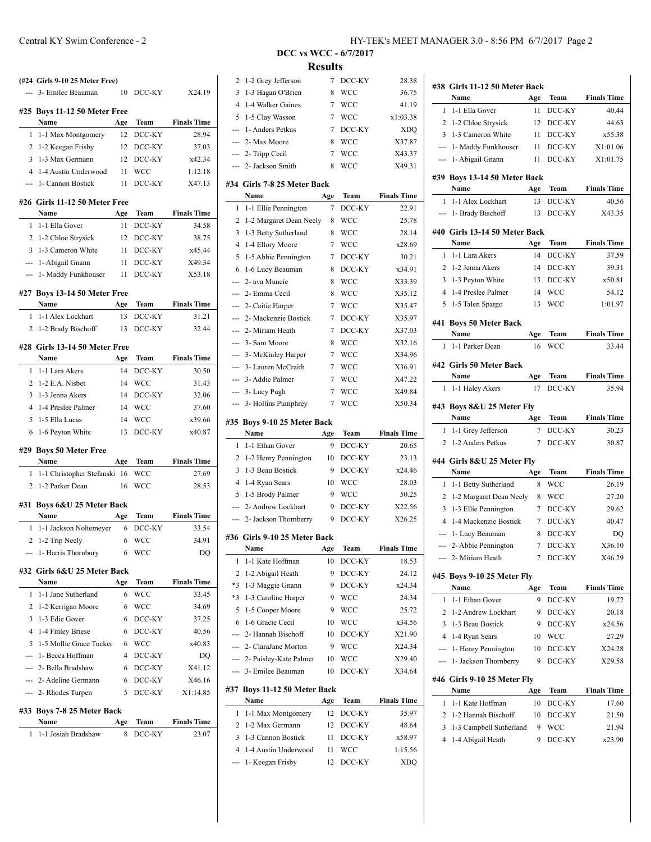|                | 3- Emilee Beauman                            | 10             | DCC-KY           | X24.19                       |
|----------------|----------------------------------------------|----------------|------------------|------------------------------|
|                | #25 Boys 11-12 50 Meter Free                 |                |                  |                              |
|                | Name                                         | Age            | Team             | <b>Finals Time</b>           |
| 1              | 1-1 Max Montgomery                           | 12             | DCC-KY           | 28.94                        |
|                | 2 1-2 Keegan Frisby                          | 12             | DCC-KY           | 37.03                        |
| 3              | 1-3 Max Germann                              | 12             | DCC-KY           | x42.34                       |
| 4              | 1-4 Austin Underwood                         | 11             | WCC              | 1:12.18                      |
| <u></u>        | 1- Cannon Bostick                            | 11             | DCC-KY           | X47.13                       |
|                | #26 Girls 11-12 50 Meter Free<br>Name        | Age            | <b>Team</b>      | <b>Finals Time</b>           |
| 1.             | 1-1 Ella Gover                               | 11             | DCC-KY           | 34.58                        |
|                | 2 1-2 Chloe Strysick                         | 12             | DCC-KY           | 38.75                        |
|                | 3 1-3 Cameron White                          | 11             | DCC-KY           | x45.44                       |
|                | --- 1- Abigail Gnann                         | 11             | DCC-KY           | X49.34                       |
| ---            | 1- Maddy Funkhouser                          | - 11           | DCC-KY           | X53.18                       |
|                | #27 Boys 13-14 50 Meter Free                 |                |                  |                              |
|                | Name                                         | Age            | Team             | <b>Finals Time</b>           |
| 1              | 1-1 Alex Lockhart                            | 13             | DCC-KY           | 31.21                        |
| 2              | 1-2 Brady Bischoff                           | 13             | DCC-KY           | 32.44                        |
|                | #28 Girls 13-14 50 Meter Free                |                |                  |                              |
|                | Name                                         | Age            | Team             | <b>Finals Time</b>           |
| 1              | 1-1 Lara Akers                               | 14             | DCC-KY           | 30.50                        |
|                | 2 1-2 E.A. Nisbet                            | 14             | WCC              | 31.43                        |
|                | 3 1-3 Jenna Akers                            | 14             | DCC-KY           | 32.06                        |
| $\overline{4}$ | 1-4 Preslee Palmer                           | 14             | WCC              | 37.60                        |
| 5              | 1-5 Ella Lucas                               | 14             | WCC              | x39.66                       |
|                |                                              |                |                  |                              |
| 6              | 1-6 Peyton White                             | 13             | DCC-KY           | x40.87                       |
|                | #29 Boys 50 Meter Free                       |                |                  |                              |
|                | Name                                         | Age            | Team             | <b>Finals Time</b>           |
|                | 1 1-1 Christopher Stefanski                  | -16            | WCC              | 27.69                        |
| 2              | 1-2 Parker Dean                              | 16             | WCC              | 28.53                        |
|                | #31 Boys 6&U 25 Meter Back                   |                |                  |                              |
|                | Name                                         | Age            | Team             | <b>Finals Time</b>           |
| 1              | 1-1 Jackson Noltemeyer                       | 6              | DCC-KY           | 33.54                        |
|                | 2 1-2 Trip Neely                             | 6              | WCC              | 34.91                        |
| ---            | 1- Harris Thornbury                          | 6              | WCC              | DQ                           |
|                | #32 Girls 6&U 25 Meter Back                  |                |                  |                              |
| 1              | Name<br>1-1 Jane Sutherland                  | Age<br>6       | Team<br>WCC      | <b>Finals Time</b><br>33.45  |
| 2              |                                              | 6              | <b>WCC</b>       | 34.69                        |
| 3              | 1-2 Kerrigan Moore<br>1-3 Edie Gover         | 6              |                  |                              |
| 4              |                                              | 6              | DCC-KY<br>DCC-KY |                              |
| 5              | 1-4 Finley Briese<br>1-5 Mollie Grace Tucker | 6              | WCC              | 37.25<br>40.56<br>x40.83     |
| ---            | 1- Becca Hoffman                             | $\overline{4}$ | DCC-KY           | DQ                           |
|                | 2- Bella Bradshaw                            | 6              | DCC-KY           |                              |
|                | --- 2- Adeline Germann                       | 6              | DCC-KY           |                              |
|                | --- 2- Rhodes Turpen                         | 5              | DCC-KY           | X41.12<br>X46.16<br>X1:14.85 |
|                |                                              |                |                  |                              |
|                | #33 Boys 7-8 25 Meter Back<br>Name           | Age            | Team             | <b>Finals Time</b>           |

| 2              | 1-2 Grey Jefferson                       | 7      | DCC-KY        | 28.38                 |
|----------------|------------------------------------------|--------|---------------|-----------------------|
| 3              | 1-3 Hagan O'Brien                        | 8      | <b>WCC</b>    | 36.75                 |
| $\overline{4}$ | 1-4 Walker Gaines                        | 7      | <b>WCC</b>    | 41.19                 |
| 5              | 1-5 Clay Wasson                          | 7      | <b>WCC</b>    | x1:03.38              |
| ---            | 1- Anders Petkus                         | $\tau$ | DCC-KY        | <b>XDQ</b>            |
| ---            | 2- Max Moore                             | 8      | <b>WCC</b>    | X37.87                |
| ---            | 2- Tripp Cecil                           | 7      | <b>WCC</b>    | X43.37                |
|                | --- 2- Jackson Smith                     | 8      | <b>WCC</b>    | X49.31                |
|                | #34 Girls 7-8 25 Meter Back              |        |               |                       |
|                | Name                                     | Age    | <b>Team</b>   | <b>Finals Time</b>    |
| 1              | 1-1 Ellie Pennington                     | 7      | DCC-KY        | 22.91                 |
| 2              | 1-2 Margaret Dean Neely                  | 8      | <b>WCC</b>    | 25.78                 |
| 3              | 1-3 Betty Sutherland                     | 8      | <b>WCC</b>    | 28.14                 |
| $\overline{4}$ | 1-4 Ellory Moore                         | 7      | <b>WCC</b>    | x28.69                |
| 5              | 1-5 Abbie Pennington                     | 7      | DCC-KY        | 30.21                 |
| 6              | 1-6 Lucy Beauman                         | 8      | DCC-KY        | x34.91                |
| $\overline{a}$ | 2- ava Muncie                            | 8      | <b>WCC</b>    | X33.39                |
| ---            | 2- Emma Cecil                            | 8      | <b>WCC</b>    | X35.12                |
| ---            | 2- Caitie Harper                         | 7      | <b>WCC</b>    | X35.47                |
| ---            | 2- Mackenzie Bostick                     | 7      | DCC-KY        | X35.97                |
| $\overline{a}$ | 2- Miriam Heath                          | 7      | DCC-KY        | X37.03                |
| $\overline{a}$ | 3- Sam Moore                             | 8      | <b>WCC</b>    | X32.16                |
|                | 3- McKinley Harper                       | 7      | <b>WCC</b>    | X34.96                |
| ---            | 3- Lauren McCraith                       | 7      | <b>WCC</b>    | X36.91                |
| ---            | 3- Addie Palmer                          | 7      | <b>WCC</b>    | X47.22                |
| ---            | 3- Lucy Pugh                             | 7      | <b>WCC</b>    | X49.84                |
| ---            | 3- Hollins Pumphrey                      | 7      | <b>WCC</b>    | X50.34                |
|                |                                          |        |               |                       |
|                |                                          |        |               |                       |
|                | #35 Boys 9-10 25 Meter Back              |        |               |                       |
|                | Name                                     | Age    | Team          | <b>Finals Time</b>    |
| 1              | 1-1 Ethan Gover                          | 9      | DCC-KY        | 20.65                 |
| 2              | 1-2 Henry Pennington                     | 10     | DCC-KY        | 23.13                 |
| 3              | 1-3 Beau Bostick                         | 9      | DCC-KY        | x24.46                |
| $\overline{4}$ | 1-4 Ryan Sears                           | 10     | <b>WCC</b>    | 28.03                 |
| 5              | 1-5 Brody Palmer                         | 9      | <b>WCC</b>    | 50.25                 |
| ---            | 2- Andrew Lockhart                       | 9      | DCC-KY        | X22.56                |
| $---$          | 2- Jackson Thornberry                    | 9      | DCC-KY        | X26.25                |
|                | #36 Girls 9-10 25 Meter Back             |        |               |                       |
|                | Name                                     | Age    | Team          | <b>Finals Time</b>    |
| 1              | 1-1 Kate Hoffman                         | 10     | DCC-KY        | 18.53                 |
| $\overline{c}$ | 1-2 Abigail Heath                        | 9      | DCC-KY        | 24.12                 |
| *3             | 1-3 Maggie Gnann                         | 9      | DCC-KY        | x24.34                |
| *3             | 1-3 Caroline Harper                      | 9      | WCC           | 24.34                 |
| 5              | 1-5 Cooper Moore                         | 9      | <b>WCC</b>    | 25.72                 |
| 6              | 1-6 Gracie Cecil                         | 10     | WCC           | x34.56                |
| ---            | 2- Hannah Bischoff                       | 10     | DCC-KY        | X21.90                |
|                | 2- ClaraJane Morton                      | 9      | <b>WCC</b>    | X24.34                |
| ---            | 2- Paisley-Kate Palmer                   | 10     | WCC           | X29.40                |
| ---            | 3- Emilee Beauman                        | 10     | DCC-KY        | X34.64                |
| #37            | Boys 11-12 50 Meter Back                 |        |               |                       |
|                | Name                                     | Age    | Team          | <b>Finals Time</b>    |
| 1              | 1-1 Max Montgomery                       | 12     | DCC-KY        | 35.97                 |
| 2              | 1-2 Max Germann                          | 12     | DCC-KY        | 48.64                 |
| 3              | 1-3 Cannon Bostick                       | 11     | DCC-KY        | x58.97                |
| $\overline{4}$ | 1-4 Austin Underwood<br>1- Keegan Frisby | 11     | WCC<br>DCC-KY | 1:15.56<br><b>XDQ</b> |

|                | #38 Girls 11-12 50 Meter Back                   |                  |                          |                    |
|----------------|-------------------------------------------------|------------------|--------------------------|--------------------|
|                | Name                                            | Age              | Team                     | <b>Finals Time</b> |
| 1              | 1-1 Ella Gover                                  | 11               | DCC-KY                   | 40.44              |
| 2              | 1-2 Chloe Strysick                              | 12               | DCC-KY                   | 44.63              |
| 3              | 1-3 Cameron White                               | 11               | DCC-KY                   | x55.38             |
| $\overline{a}$ | 1- Maddy Funkhouser                             | 11               | DCC-KY                   | X1:01.06           |
|                | 1- Abigail Gnann                                | 11               | DCC-KY                   | X1:01.75           |
|                | #39 Boys 13-14 50 Meter Back                    |                  |                          |                    |
|                | Name                                            | Age              | Team                     | <b>Finals Time</b> |
| 1              | 1-1 Alex Lockhart                               | 13               | DCC-KY                   | 40.56              |
| ---            | 1- Brady Bischoff                               | 13               | DCC-KY                   | X43.35             |
|                | #40 Girls 13-14 50 Meter Back                   |                  |                          |                    |
|                | Name                                            | Age              | Team                     | <b>Finals Time</b> |
| 1              | 1-1 Lara Akers                                  | 14               | DCC-KY                   | 37.59              |
| 2              | 1-2 Jenna Akers                                 | 14               | DCC-KY                   | 39.31              |
| 3              | 1-3 Peyton White                                | 13               | DCC-KY                   | x50.81             |
| 4              | 1-4 Preslee Palmer                              | 14               | <b>WCC</b>               | 54.12              |
| 5              | 1-5 Talen Spargo                                | 13               | <b>WCC</b>               | 1:01.97            |
| #41            | <b>Boys 50 Meter Back</b>                       |                  |                          |                    |
|                | Name                                            | Age              | Team                     | <b>Finals Time</b> |
| 1              | 1-1 Parker Dean                                 | 16               | WCC                      | 33.44              |
|                | #42 Girls 50 Meter Back                         |                  |                          |                    |
|                | Name                                            | Age              | Team                     | <b>Finals Time</b> |
| 1              | 1-1 Haley Akers                                 | 17               | DCC-KY                   | 35.94              |
|                |                                                 |                  |                          |                    |
|                | #43 Boys 8&U 25 Meter Fly<br>Name               | Age              | Team                     | <b>Finals Time</b> |
| 1              | 1-1 Grey Jefferson                              | 7                | DCC-KY                   | 30.23              |
|                | 1-2 Anders Petkus                               |                  |                          |                    |
| $\overline{c}$ |                                                 | 7                | DCC-KY                   |                    |
|                |                                                 |                  |                          | 30.87              |
|                | #44 Girls 8&U 25 Meter Fly                      |                  |                          |                    |
| 1              | Name                                            | Age<br>8         | Team                     | <b>Finals Time</b> |
| 2              | 1-1 Betty Sutherland<br>1-2 Margaret Dean Neely | 8                | <b>WCC</b><br><b>WCC</b> | 26.19<br>27.20     |
| 3              | 1-3 Ellie Pennington                            | 7                | DCC-KY                   | 29.62              |
| $\overline{4}$ | 1-4 Mackenzie Bostick                           | 7                | DCC-KY                   | 40.47              |
| ---            | 1- Lucy Beauman                                 | 8                | DCC-KY                   | DO                 |
| $---$          | 2- Abbie Pennington                             | 7                | DCC-KY                   | X36.10             |
|                | 2- Miriam Heath                                 | $\boldsymbol{7}$ | DCC-KY                   | X46.29             |
|                |                                                 |                  |                          |                    |
|                | #45 Boys 9-10 25 Meter Fly<br><b>Name</b>       | Age              | Team                     | <b>Finals Time</b> |
| 1              | 1-1 Ethan Gover                                 | 9                | DCC-KY                   | 19.72              |
| 2              | 1-2 Andrew Lockhart                             | 9                | DCC-KY                   | 20.18              |
| 3              | 1-3 Beau Bostick                                | 9                | DCC-KY                   | x24.56             |
| 4              | 1-4 Ryan Sears                                  | 10               | <b>WCC</b>               | 27.29              |
| ---            | 1- Henry Pennington                             | 10               | DCC-KY                   | X24.28             |
| ---            | 1- Jackson Thornberry                           | 9                | DCC-KY                   | X29.58             |
|                | #46 Girls 9-10 25 Meter Fly                     |                  |                          |                    |
|                | Name                                            | Age              | Team                     | <b>Finals Time</b> |
| 1              | 1-1 Kate Hoffman                                | 10               | DCC-KY                   | 17.60              |
| 2              | 1-2 Hannah Bischoff                             | 10               | DCC-KY                   | 21.50              |
| 3              | 1-3 Campbell Sutherland                         | 9                | WCC                      | 21.94              |
| 4              | 1-4 Abigail Heath                               | 9                | DCC-KY                   | x23.90             |
|                |                                                 |                  |                          |                    |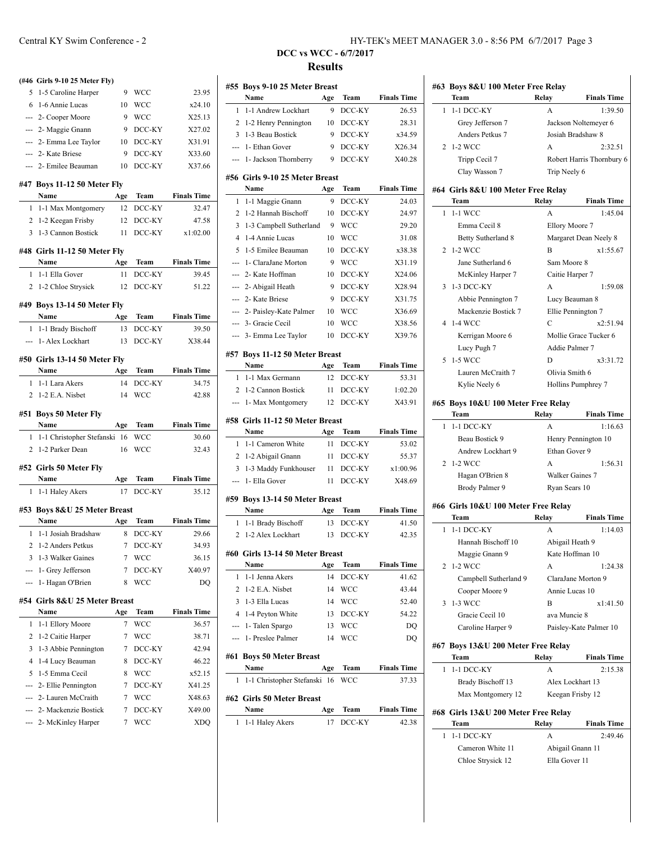|     | (#46 Girls 9-10 25 Meter Fly)                       |        |                |                    |
|-----|-----------------------------------------------------|--------|----------------|--------------------|
| 5.  | 1-5 Caroline Harper                                 | 9      | WCC            | 23.95              |
|     | 6 1-6 Annie Lucas                                   | 10     | WCC            | x24.10             |
|     | --- 2- Cooper Moore                                 | 9      | <b>WCC</b>     | X25.13             |
|     | --- 2- Maggie Gnann                                 | 9      | $DCC-KY$       | X27.02             |
|     | --- 2- Emma Lee Taylor                              | 10     | DCC-KY         | X31.91             |
|     | --- 2- Kate Briese                                  | 9      | DCC-KY         | X33.60             |
|     | --- 2- Emilee Beauman                               | 10     | DCC-KY         | X37.66             |
|     |                                                     |        |                |                    |
|     | #47 Boys 11-12 50 Meter Fly                         |        |                |                    |
|     | Name                                                | Age    | Team           | <b>Finals Time</b> |
|     | 1 1-1 Max Montgomery                                | 12     | DCC-KY         | 32.47              |
|     | 2 1-2 Keegan Frisby                                 | 12     | DCC-KY         | 47.58              |
|     | 3 1-3 Cannon Bostick                                | 11     | DCC-KY         | x1:02.00           |
|     | #48 Girls 11-12 50 Meter Fly                        |        |                |                    |
|     | Name                                                | Age    | Team           | <b>Finals Time</b> |
|     | 1 1-1 Ella Gover                                    | 11     | DCC-KY         | 39.45              |
|     | 2 1-2 Chloe Strysick                                | 12     | DCC-KY         | 51.22              |
|     |                                                     |        |                |                    |
|     | #49 Boys 13-14 50 Meter Fly                         |        |                |                    |
|     | Name                                                | Age    | Team<br>DCC-KY | <b>Finals Time</b> |
| 1   | 1-1 Brady Bischoff                                  | 13     |                | 39.50              |
|     | --- 1- Alex Lockhart                                | 13     | $DCC-KY$       | X38.44             |
|     | #50 Girls 13-14 50 Meter Fly                        |        |                |                    |
|     | Name                                                | Age    | Team           | <b>Finals Time</b> |
|     | 1 1-1 Lara Akers                                    | 14     | DCC-KY         | 34.75              |
|     | 2 1-2 E.A. Nisbet                                   | 14     | WCC            | 42.88              |
|     |                                                     |        |                |                    |
|     |                                                     |        |                |                    |
|     | #51 Boys 50 Meter Fly                               |        |                |                    |
|     | Name $\qquad \qquad$                                | Age    | Team           | <b>Finals Time</b> |
|     | 1 1-1 Christopher Stefanski 16<br>2 1-2 Parker Dean | 16     | WCC<br>WCC     | 30.60<br>32.43     |
|     |                                                     |        |                |                    |
|     | #52 Girls 50 Meter Fly                              |        |                |                    |
|     | Name                                                | Age    | Team           | <b>Finals Time</b> |
|     | 1 1-1 Haley Akers                                   | 17     | $DCC-KY$       | 35.12              |
|     | #53 Boys 8&U 25 Meter Breast                        |        |                |                    |
|     | Name                                                | Age    | Team           | <b>Finals Time</b> |
|     | 1 1-1 Josiah Bradshaw                               | 8      | DCC-KY         | 29.66              |
|     | 2 1-2 Anders Petkus                                 |        | 7 DCC-KY       | 34.93              |
| 3   | 1-3 Walker Gaines                                   | 7      | WCC            | 36.15              |
| --- | 1- Grey Jefferson                                   | 7      | DCC-KY         | X40.97             |
| --- | 1- Hagan O'Brien                                    | 8      | WCC            | DQ                 |
|     |                                                     |        |                |                    |
|     | #54 Girls 8&U 25 Meter Breast                       |        |                |                    |
|     | Name                                                | Age    | Team           | <b>Finals Time</b> |
| 1   | 1-1 Ellory Moore                                    | 7      | WCC            | 36.57              |
| 2   | 1-2 Caitie Harper                                   | 7      | WCC            | 38.71              |
| 3   | 1-3 Abbie Pennington                                | 7      | DCC-KY         | 42.94              |
| 4   | 1-4 Lucy Beauman                                    | 8      | DCC-KY         | 46.22              |
| 5   | 1-5 Emma Cecil                                      | 8      | WCC            | x52.15             |
| --- | 2- Ellie Pennington                                 | 7      | DCC-KY         | X41.25             |
|     | 2- Lauren McCraith                                  | 7      | <b>WCC</b>     | X48.63             |
|     | 2- Mackenzie Bostick<br>2- McKinley Harper          | 7<br>7 | DCC-KY<br>WCC  | X49.00<br>XDQ      |

## Central KY Swim Conference - 2 HY-TEK's MEET MANAGER 3.0 - 8:56 PM 6/7/2017 Page 3

|                | #55 Boys 9-10 25 Meter Breast                 |            |                    |                    |
|----------------|-----------------------------------------------|------------|--------------------|--------------------|
|                | Name                                          | Age        | Team               | <b>Finals Time</b> |
| 1              | 1-1 Andrew Lockhart                           | 9          | DCC-KY             | 26.53              |
| 2              | 1-2 Henry Pennington                          | 10         | DCC-KY             | 28.31              |
| 3              | 1-3 Beau Bostick                              | 9          | DCC-KY             | x34.59             |
| $\overline{a}$ | 1- Ethan Gover                                | 9          | DCC-KY             | X26.34             |
| ---            | 1- Jackson Thornberry                         | 9          | DCC-KY             | X40.28             |
|                | #56 Girls 9-10 25 Meter Breast                |            |                    |                    |
|                | Name                                          | Age        | Team               | <b>Finals Time</b> |
| 1              | 1-1 Maggie Gnann                              | 9          | DCC-KY             | 24.03              |
| 2              | 1-2 Hannah Bischoff                           | 10         | DCC-KY             | 24.97              |
| 3              | 1-3 Campbell Sutherland                       | 9          | <b>WCC</b>         | 29.20              |
| 4              | 1-4 Annie Lucas                               | 10         | <b>WCC</b>         | 31.08              |
| 5              | 1-5 Emilee Beauman                            | 10         | DCC-KY             | x38.38             |
| ---            | 1- ClaraJane Morton                           | 9          | <b>WCC</b>         | X31.19             |
| ---            | 2- Kate Hoffman                               | 10         | DCC-KY             | X24.06             |
| ---            | 2- Abigail Heath                              | 9          | DCC-KY             | X28.94             |
|                | 2- Kate Briese                                | 9          | DCC-KY             | X31.75             |
| ---            | 2- Paisley-Kate Palmer                        | 10         | <b>WCC</b>         | X36.69             |
|                | 3- Gracie Cecil                               | 10         | <b>WCC</b>         | X38.56             |
| ---            | 3- Emma Lee Taylor                            | 10         | DCC-KY             | X39.76             |
|                |                                               |            |                    |                    |
|                | #57 Boys 11-12 50 Meter Breast<br><b>Name</b> |            |                    | <b>Finals Time</b> |
| 1              | 1-1 Max Germann                               | Age<br>12  | Team<br>DCC-KY     | 53.31              |
| 2              | 1-2 Cannon Bostick                            | 11         | DCC-KY             | 1:02.20            |
| ---            | 1- Max Montgomery                             | 12         | DCC-KY             | X43.91             |
|                |                                               |            |                    |                    |
|                | #58 Girls 11-12 50 Meter Breast<br>Name       | Age        | Team               | <b>Finals Time</b> |
| 1              | 1-1 Cameron White                             | 11         | DCC-KY             | 53.02              |
| 2              | 1-2 Abigail Gnann                             | 11         | DCC-KY             | 55.37              |
| 3              | 1-3 Maddy Funkhouser                          | 11         | DCC-KY             | x1:00.96           |
| ---            | 1- Ella Gover                                 | 11         | DCC-KY             | X48.69             |
|                |                                               |            |                    |                    |
|                | #59 Boys 13-14 50 Meter Breast                |            |                    |                    |
|                | Name                                          | Age        | Team               | <b>Finals Time</b> |
| 1              | 1-1 Brady Bischoff                            | 13         | DCC-KY             | 41.50              |
| 2              | 1-2 Alex Lockhart                             | 13         | DCC-KY             | 42.35              |
|                | #60 Girls 13-14 50 Meter Breast               |            |                    |                    |
|                | Name                                          | Age        | Team               | <b>Finals Time</b> |
| 1              | 1-1 Jenna Akers                               | 14         | DCC-KY             | 41.62              |
| 2              | 1-2 E.A. Nisbet                               | 14         | WCC                | 43.44              |
| 3              |                                               |            |                    |                    |
|                | 1-3 Ella Lucas                                | 14         | WCC                | 52.40              |
| 4              |                                               | 13         | DCC-KY             | 54.22              |
| ---            | 1-4 Peyton White                              | 13         | WCC                | DQ                 |
| ---            | 1- Talen Spargo<br>1- Preslee Palmer          | 14         | WCC                | DQ                 |
|                |                                               |            |                    |                    |
|                | #61 Boys 50 Meter Breast<br>Name              |            |                    | <b>Finals Time</b> |
| 1              | 1-1 Christopher Stefanski                     | Age<br>-16 | Team<br><b>WCC</b> | 37.33              |
|                |                                               |            |                    |                    |
|                | #62 Girls 50 Meter Breast<br>Name             | Age        | Team               | <b>Finals Time</b> |

|   | #63 Boys 8&U 100 Meter Free Relay<br>Team         | Relay                             | <b>Finals Time</b>        |
|---|---------------------------------------------------|-----------------------------------|---------------------------|
| 1 | 1-1 DCC-KY                                        | A                                 | 1:39.50                   |
|   | Grey Jefferson 7                                  |                                   | Jackson Noltemeyer 6      |
|   | Anders Petkus 7                                   | Josiah Bradshaw 8                 |                           |
| 2 | 1-2 WCC                                           | A                                 | 2:32.51                   |
|   |                                                   |                                   |                           |
|   | Tripp Cecil 7                                     |                                   | Robert Harris Thornbury 6 |
|   | Clay Wasson 7                                     | Trip Neely 6                      |                           |
|   | #64 Girls 8&U 100 Meter Free Relay                |                                   |                           |
|   | Team                                              |                                   | Relay Finals Time         |
| 1 | 1-1 WCC                                           | А                                 | 1:45.04                   |
|   | Emma Cecil 8                                      | Ellory Moore 7                    |                           |
|   | Betty Sutherland 8                                |                                   | Margaret Dean Neely 8     |
| 2 | 1-2 WCC                                           | B                                 | x1:55.67                  |
|   | Jane Sutherland 6                                 | Sam Moore 8                       |                           |
|   | McKinley Harper 7                                 | Caitie Harper 7                   |                           |
| 3 | 1-3 DCC-KY                                        | A                                 | 1:59.08                   |
|   | Abbie Pennington 7                                | Lucy Beauman 8                    |                           |
|   | Mackenzie Bostick 7                               | Ellie Pennington 7                |                           |
|   | 4 1-4 WCC                                         | C                                 | x2:51.94                  |
|   | Kerrigan Moore 6                                  |                                   | Mollie Grace Tucker 6     |
|   | Lucy Pugh 7                                       | Addie Palmer 7                    |                           |
| 5 | 1-5 WCC                                           | D                                 | x3:31.72                  |
|   | Lauren McCraith 7                                 | Olivia Smith 6                    |                           |
|   | Kylie Neely 6                                     |                                   | Hollins Pumphrey 7        |
|   |                                                   |                                   |                           |
|   | #65 Boys 10&U 100 Meter Free Relay<br><b>Team</b> |                                   | <b>Finals Time</b>        |
|   | 1 1-1 DCC-KY                                      | Relay<br>A                        | 1:16.63                   |
|   |                                                   |                                   |                           |
|   |                                                   |                                   |                           |
|   | Beau Bostick 9                                    |                                   | Henry Pennington 10       |
|   | Andrew Lockhart 9                                 | Ethan Gover 9                     |                           |
|   | 2 1-2 WCC                                         | A                                 | 1:56.31                   |
|   | Hagan O'Brien 8                                   | Walker Gaines 7                   |                           |
|   | Brody Palmer 9                                    | Ryan Sears 10                     |                           |
|   | #66 Girls 10&U 100 Meter Free Relay               |                                   |                           |
|   | Team                                              | Relay                             | <b>Finals Time</b>        |
| 1 | $1-1$ DCC-KY                                      | A                                 | 1:14.03                   |
|   | Hannah Bischoff 10                                | Abigail Heath 9                   |                           |
|   |                                                   | Kate Hoffman 10                   |                           |
| 2 | Maggie Gnann 9<br>1-2 WCC                         | A                                 | 1:24.38                   |
|   |                                                   |                                   | ClaraJane Morton 9        |
|   | Campbell Sutherland 9                             | Annie Lucas 10                    |                           |
|   | Cooper Moore 9                                    |                                   |                           |
| 3 | 1-3 WCC                                           | B                                 | x1:41.50                  |
|   | Gracie Cecil 10                                   | ava Muncie 8                      |                           |
|   | Caroline Harper 9                                 |                                   | Paisley-Kate Palmer 10    |
|   | #67 Boys 13&U 200 Meter Free Relay                |                                   |                           |
|   | Team                                              | Relay                             | <b>Finals Time</b>        |
| 1 | 1-1 DCC-KY                                        | А                                 | 2:15.38                   |
|   | Brady Bischoff 13                                 | Alex Lockhart 13                  |                           |
|   | Max Montgomery 12                                 | Keegan Frisby 12                  |                           |
|   |                                                   |                                   |                           |
|   | #68 Girls 13&U 200 Meter Free Relay               |                                   |                           |
|   | Team                                              | Relay                             | <b>Finals Time</b>        |
| 1 | $1-1$ DCC-KY                                      | А                                 | 2:49.46                   |
|   | Cameron White 11<br>Chloe Strysick 12             | Abigail Gnann 11<br>Ella Gover 11 |                           |